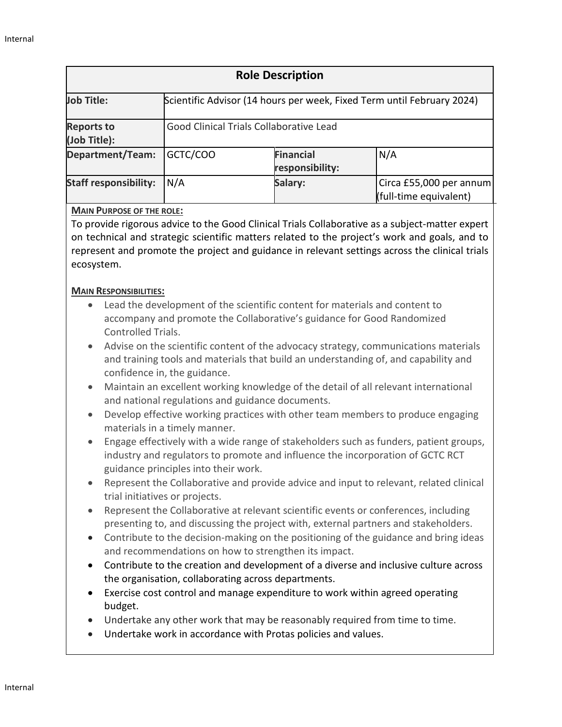| <b>Role Description</b>           |                                                                        |                                     |                                                   |
|-----------------------------------|------------------------------------------------------------------------|-------------------------------------|---------------------------------------------------|
| Job Title:                        | Scientific Advisor (14 hours per week, Fixed Term until February 2024) |                                     |                                                   |
| <b>Reports to</b><br>(Job Title): | Good Clinical Trials Collaborative Lead                                |                                     |                                                   |
| Department/Team:                  | GCTC/COO                                                               | <b>Financial</b><br>responsibility: | N/A                                               |
| <b>Staff responsibility:</b>      | N/A                                                                    | Salary:                             | Circa £55,000 per annum<br>(full-time equivalent) |

# **MAIN PURPOSE OF THE ROLE:**

To provide rigorous advice to the Good Clinical Trials Collaborative as a subject-matter expert on technical and strategic scientific matters related to the project's work and goals, and to represent and promote the project and guidance in relevant settings across the clinical trials ecosystem.

## **MAIN RESPONSIBILITIES:**

- Lead the development of the scientific content for materials and content to accompany and promote the Collaborative's guidance for Good Randomized Controlled Trials.
- Advise on the scientific content of the advocacy strategy, communications materials and training tools and materials that build an understanding of, and capability and confidence in, the guidance.
- Maintain an excellent working knowledge of the detail of all relevant international and national regulations and guidance documents.
- Develop effective working practices with other team members to produce engaging materials in a timely manner.
- Engage effectively with a wide range of stakeholders such as funders, patient groups, industry and regulators to promote and influence the incorporation of GCTC RCT guidance principles into their work.
- Represent the Collaborative and provide advice and input to relevant, related clinical trial initiatives or projects.
- Represent the Collaborative at relevant scientific events or conferences, including presenting to, and discussing the project with, external partners and stakeholders.
- Contribute to the decision-making on the positioning of the guidance and bring ideas and recommendations on how to strengthen its impact.
- Contribute to the creation and development of a diverse and inclusive culture across the organisation, collaborating across departments.
- Exercise cost control and manage expenditure to work within agreed operating budget.
- Undertake any other work that may be reasonably required from time to time.
- Undertake work in accordance with Protas policies and values.